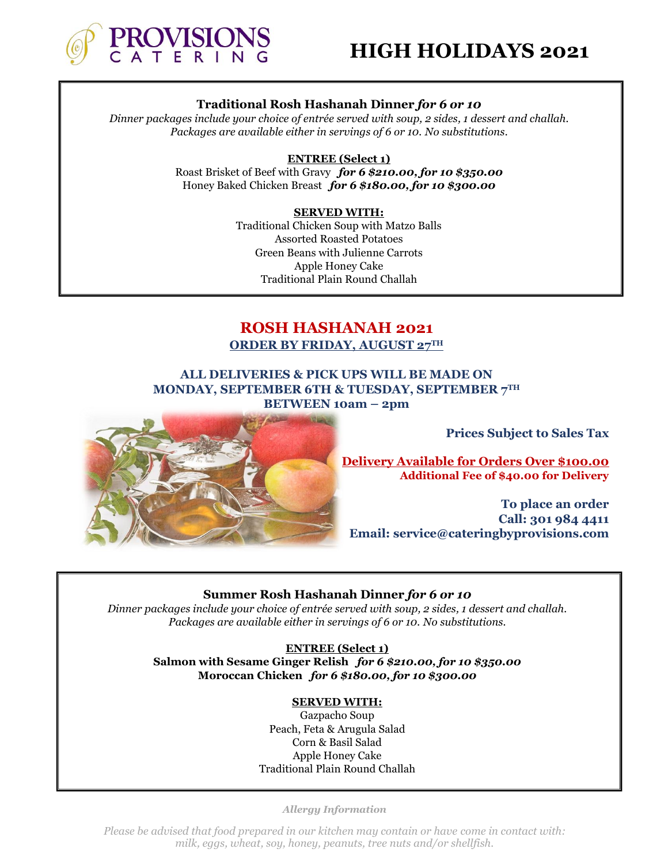

## **Traditional Rosh Hashanah Dinner** *for 6 or 10*

*Dinner packages include your choice of entrée served with soup, 2 sides, 1 dessert and challah. Packages are available either in servings of 6 or 10. No substitutions.*

## **ENTREE (Select 1)**

Roast Brisket of Beef with Gravy *for 6 \$210.00, for 10 \$350.00* Honey Baked Chicken Breast *for 6 \$180.00, for 10 \$300.00*

## **SERVED WITH:**

Traditional Chicken Soup with Matzo Balls Assorted Roasted Potatoes Green Beans with Julienne Carrots Apple Honey Cake Traditional Plain Round Challah

# **ROSH HASHANAH 2021 ORDER BY FRIDAY, AUGUST 27TH**

## **ALL DELIVERIES & PICK UPS WILL BE MADE ON MONDAY, SEPTEMBER 6TH & TUESDAY, SEPTEMBER 7TH BETWEEN 10am – 2pm**

**Prices Subject to Sales Tax** 



**To place an order Call: 301 984 4411 Email: service@cateringbyprovisions.com**

## **Summer Rosh Hashanah Dinner** *for 6 or 10*

*Dinner packages include your choice of entrée served with soup, 2 sides, 1 dessert and challah. Packages are available either in servings of 6 or 10. No substitutions.*

> **ENTREE (Select 1) Salmon with Sesame Ginger Relish** *for 6 \$210.00, for 10 \$350.00* **Moroccan Chicken** *for 6 \$180.00, for 10 \$300.00*

## **SERVED WITH:**

Gazpacho Soup Peach, Feta & Arugula Salad Corn & Basil Salad Apple Honey Cake Traditional Plain Round Challah

*Allergy Information* 

*Please be advised that food prepared in our kitchen may contain or have come in contact with: milk, eggs, wheat, soy, honey, peanuts, tree nuts and/or shellfish.*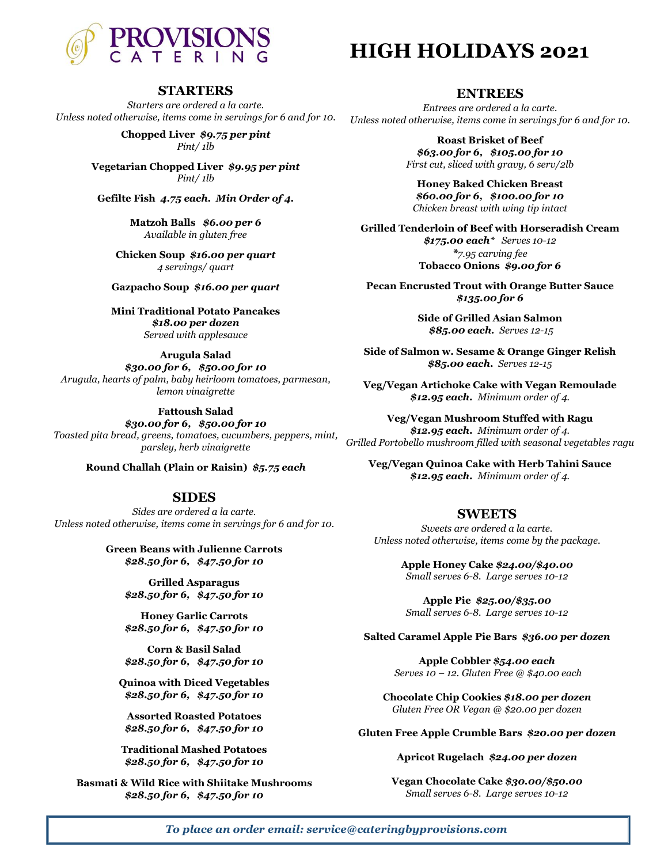

# **HIGH HOLIDAYS 2021**

## **STARTERS**

*Starters are ordered a la carte. Unless noted otherwise, items come in servings for 6 and for 10.*

> **Chopped Liver** *\$9.75 per pint Pint/ 1lb*

**Vegetarian Chopped Liver** *\$9.95 per pint Pint/ 1lb*

**Gefilte Fish** *4.75 each. Min Order of 4.*

**Matzoh Balls** *\$6.00 per 6 Available in gluten free*

**Chicken Soup** *\$16.00 per quart 4 servings/ quart*

#### **Gazpacho Soup** *\$16.00 per quart*

**Mini Traditional Potato Pancakes** *\$18.00 per dozen Served with applesauce* 

#### **Arugula Salad**

*\$30.00 for 6, \$50.00 for 10 Arugula, hearts of palm, baby heirloom tomatoes, parmesan, lemon vinaigrette*

#### **Fattoush Salad**

*\$30.00 for 6, \$50.00 for 10 Toasted pita bread, greens, tomatoes, cucumbers, peppers, mint, parsley, herb vinaigrette*

#### **Round Challah (Plain or Raisin)** *\$5.75 each*

## **SIDES**

*Sides are ordered a la carte. Unless noted otherwise, items come in servings for 6 and for 10.*

#### **Green Beans with Julienne Carrots** *\$28.50 for 6, \$47.50 for 10*

**Grilled Asparagus**  *\$28.50 for 6, \$47.50 for 10*

**Honey Garlic Carrots**  *\$28.50 for 6, \$47.50 for 10*

**Corn & Basil Salad** *\$28.50 for 6, \$47.50 for 10*

**Quinoa with Diced Vegetables** *\$28.50 for 6, \$47.50 for 10*

**Assorted Roasted Potatoes**  *\$28.50 for 6, \$47.50 for 10*

**Traditional Mashed Potatoes** *\$28.50 for 6, \$47.50 for 10*

**Basmati & Wild Rice with Shiitake Mushrooms** *\$28.50 for 6, \$47.50 for 10*

**ENTREES**

*Entrees are ordered a la carte. Unless noted otherwise, items come in servings for 6 and for 10.*

> **Roast Brisket of Beef** *\$63.00 for 6, \$105.00 for 10 First cut, sliced with gravy, 6 serv/2lb*

**Honey Baked Chicken Breast**  *\$60.00 for 6, \$100.00 for 10 Chicken breast with wing tip intact*

**Grilled Tenderloin of Beef with Horseradish Cream** *\$175.00 each\* Serves 10-12 \*7.95 carving fee* **Tobacco Onions** *\$9.00 for 6*

**Pecan Encrusted Trout with Orange Butter Sauce** *\$135.00 for 6*

> **Side of Grilled Asian Salmon** *\$85.00 each. Serves 12-15*

**Side of Salmon w. Sesame & Orange Ginger Relish**  *\$85.00 each***.** *Serves 12-15*

**Veg/Vegan Artichoke Cake with Vegan Remoulade** *\$12.95 each. Minimum order of 4.* 

**Veg/Vegan Mushroom Stuffed with Ragu**  *\$12.95 each. Minimum order of 4. Grilled Portobello mushroom filled with seasonal vegetables ragu*

**Veg/Vegan Quinoa Cake with Herb Tahini Sauce** *\$12.95 each. Minimum order of 4.* 

## **SWEETS**

*Sweets are ordered a la carte. Unless noted otherwise, items come by the package.*

> **Apple Honey Cake** *\$24.00/\$40.00 Small serves 6-8. Large serves 10-12*

**Apple Pie** *\$25.00/\$35.00 Small serves 6-8. Large serves 10-12*

#### **Salted Caramel Apple Pie Bars** *\$36.00 per dozen*

**Apple Cobbler** *\$54.00 each Serves 10 – 12. Gluten Free @ \$40.00 each*

**Chocolate Chip Cookies** *\$18.00 per dozen Gluten Free OR Vegan @ \$20.00 per dozen*

**Gluten Free Apple Crumble Bars** *\$20.00 per dozen*

#### **Apricot Rugelach** *\$24.00 per dozen*

**Vegan Chocolate Cake** *\$30.00/\$50.00 Small serves 6-8. Large serves 10-12*

## *To place an order email: service@cateringbyprovisions.com*